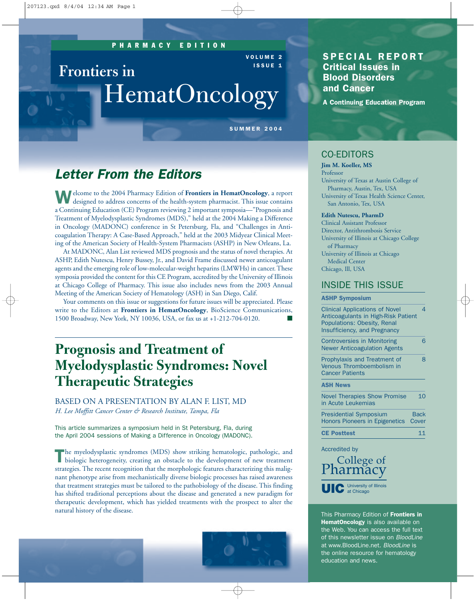**Frontiers in**

### PHARMACY EDITION

VOLUME 2 ISSUE 1

# HematOncology

SUMMER 2004

# *Letter From the Editors*

Welcome to the 2004 Pharmacy Edition of **Frontiers in HematOncology**, a report designed to address concerns of the health-system pharmacist. This issue contains a Continuing Education (CE) Program reviewing 2 important symposia—"Prognosis and Treatment of Myelodysplastic Syndromes (MDS)," held at the 2004 Making a Difference in Oncology (MADONC) conference in St Petersburg, Fla, and "Challenges in Anticoagulation Therapy: A Case-Based Approach," held at the 2003 Midyear Clinical Meeting of the American Society of Health-System Pharmacists (ASHP) in New Orleans, La.

At MADONC, Alan List reviewed MDS prognosis and the status of novel therapies. At ASHP, Edith Nutescu, Henry Bussey, Jr., and David Frame discussed newer anticoagulant agents and the emerging role of low-molecular-weight heparins (LMWHs) in cancer. These symposia provided the content for this CE Program, accredited by the University of Illinois at Chicago College of Pharmacy. This issue also includes news from the 2003 Annual Meeting of the American Society of Hematology (ASH) in San Diego, Calif.

Your comments on this issue or suggestions for future issues will be appreciated. Please write to the Editors at **Frontiers in HematOncology**, BioScience Communications, 1500 Broadway, New York, NY 10036, USA, or fax us at +1-212-704-0120. ■

# **Prognosis and Treatment of Myelodysplastic Syndromes: Novel Therapeutic Strategies**

BASED ON A PRESENTATION BY ALAN F. LIST, MD *H. Lee Moffitt Cancer Center & Research Institute, Tampa, Fla* 

This article summarizes a symposium held in St Petersburg, Fla, during the April 2004 sessions of Making a Difference in Oncology (MADONC).

The myelodysplastic syndromes (MDS) show striking hematologic, pathologic, and biologic heterogeneity, creating an obstacle to the development of new treatment strategies. The recent recognition that the morphologic features characterizing this malignant phenotype arise from mechanistically diverse biologic processes has raised awareness that treatment strategies must be tailored to the pathobiology of the disease. This finding has shifted traditional perceptions about the disease and generated a new paradigm for therapeutic development, which has yielded treatments with the prospect to alter the natural history of the disease.



### SPECIAL REPORT Critical Issues in Blood Disorders and Cancer

A Continuing Education Program

# CO-EDITORS

**Jim M. Koeller, MS** Professor University of Texas at Austin College of Pharmacy, Austin, Tex, USA University of Texas Health Science Center, San Antonio, Tex, USA

#### **Edith Nutescu, PharmD**

Clinical Assistant Professor Director, Antithrombosis Service University of Illinois at Chicago College of Pharmacy University of Illinois at Chicago Medical Center Chicago, Ill, USA

### INSIDE THIS ISSUE

#### ASHP Symposium

Clinical Applications of Novel 4 Anticoagulants in High-Risk Patient Populations: Obesity, Renal Insufficiency, and Pregnancy Controversies in Monitoring 6 Newer Anticoagulation Agents Prophylaxis and Treatment of 8 Venous Thromboembolism in Cancer Patients ASH News

Novel Therapies Show Promise 10 in Acute Leukemias Presidential Symposium Back Honors Pioneers in Epigenetics Cover

CE Posttest 11

Accredited by

College of<br>Pharmacy UIC University of Illinois

This Pharmacy Edition of Frontiers in HematOncology is also available on the Web. You can access the full text of this newsletter issue on *BloodLine* at www.BloodLine.net. *BloodLine* is the online resource for hematology education and news.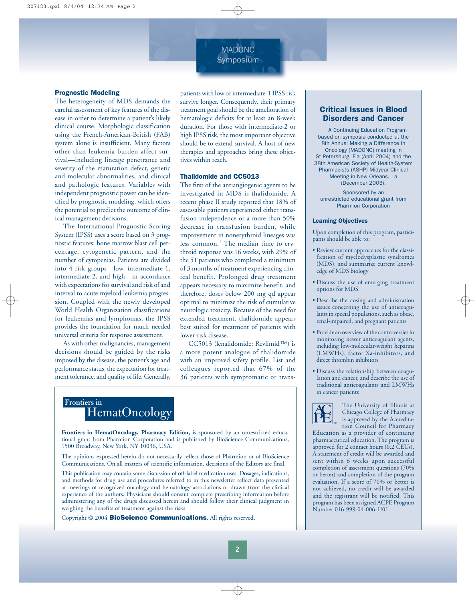# MADONC **Symposium**

#### Prognostic Modeling

The heterogeneity of MDS demands the careful assessment of key features of the disease in order to determine a patient's likely clinical course. Morphologic classification using the French-American-British (FAB) system alone is insufficient. Many factors other than leukemia burden affect survival—including lineage penetrance and severity of the maturation defect, genetic and molecular abnormalities, and clinical and pathologic features. Variables with independent prognostic power can be identified by prognostic modeling, which offers the potential to predict the outcome of clinical management decisions.

The International Prognostic Scoring System (IPSS) uses a score based on 3 prognostic features: bone marrow blast cell percentage, cytogenetic pattern, and the number of cytopenias. Patients are divided into 4 risk groups—low, intermediate-1, intermediate-2, and high—in accordance with expectations for survival and risk of and interval to acute myeloid leukemia progression. Coupled with the newly developed World Health Organization classifications for leukemias and lymphomas, the IPSS provides the foundation for much needed universal criteria for response assessment.

As with other malignancies, management decisions should be guided by the risks imposed by the disease, the patient's age and performance status, the expectation for treatment tolerance, and quality of life. Generally, patients with low or intermediate-1 IPSS risk survive longer. Consequently, their primary treatment goal should be the amelioration of hematologic deficits for at least an 8-week duration. For those with intermediate-2 or high IPSS risk, the most important objective should be to extend survival. A host of new therapies and approaches bring these objectives within reach.

#### Thalidomide and CC5013

The first of the antiangiogenic agents to be investigated in MDS is thalidomide. A recent phase II study reported that 18% of assessable patients experienced either transfusion independence or a more than 50% decrease in transfusion burden, while improvement in nonerythroid lineages was less common.<sup>1</sup> The median time to erythroid response was 16 weeks, with 29% of the 51 patients who completed a minimum of 3 months of treatment experiencing clinical benefit. Prolonged drug treatment appears necessary to maximize benefit, and therefore, doses below 200 mg qd appear optimal to minimize the risk of cumulative neurologic toxicity. Because of the need for extended treatment, thalidomide appears best suited for treatment of patients with lower-risk disease.

CC5013 (lenalidomide; Revlimid™) is a more potent analogue of thalidomide with an improved safety profile. List and colleagues reported that 67% of the 36 patients with symptomatic or trans-

# HematOncology **Frontiers in**

**Frontiers in HematOncology, Pharmacy Edition,** is sponsored by an unrestricted educational grant from Pharmion Corporation and is published by BioScience Communications, 1500 Broadway, New York, NY 10036, USA.

The opinions expressed herein do not necessarily reflect those of Pharmion or of BioScience Communications. On all matters of scientific information, decisions of the Editors are final.

This publication may contain some discussion of off-label medication uses. Dosages, indications, and methods for drug use and procedures referred to in this newsletter reflect data presented at meetings of recognized oncology and hematology associations or drawn from the clinical experience of the authors. Physicians should consult complete prescribing information before administering any of the drugs discussed herein and should follow their clinical judgment in weighing the benefits of treatment against the risks.

Copyright © 2004 **BioScience Communications**. All rights reserved.

### Critical Issues in Blood Disorders and Cancer

A Continuing Education Program based on symposia conducted at the 8th Annual Making a Difference in Oncology (MADONC) meeting in St Petersburg, Fla (April 2004) and the 38th American Society of Health-System Pharmacists (ASHP) Midyear Clinical Meeting in New Orleans, La (December 2003).

Sponsored by an unrestricted educational grant from Pharmion Corporation

#### Learning Objectives

Upon completion of this program, participants should be able to:

- Review current approaches for the classification of myelodysplastic syndromes (MDS), and summarize current knowledge of MDS biology
- Discuss the use of emerging treatment options for MDS
- Describe the dosing and administration issues concerning the use of anticoagulants in special populations, such as obese, renal-impaired, and pregnant patients
- Provide an overview of the controversies in monitoring newer anticoagulant agents, including low-molecular-weight heparins (LMWHs), factor Xa-inhibitors, and direct thrombin inhibitors
- Discuss the relationship between coagulation and cancer, and describe the use of traditional anticoagulants and LMWHs in cancer patients



The University of Illinois at Chicago College of Pharmacy is approved by the Accreditation Council for Pharmacy

Education as a provider of continuing pharmaceutical education. The program is approved for 2 contact hours (0.2 CEUs). A statement of credit will be awarded and sent within 6 weeks upon successful completion of assessment questions (70% or better) and completion of the program evaluation. If a score of 70% or better is not achieved, no credit will be awarded and the registrant will be notified. This program has been assigned ACPE Program Number 016-999-04-006-H01.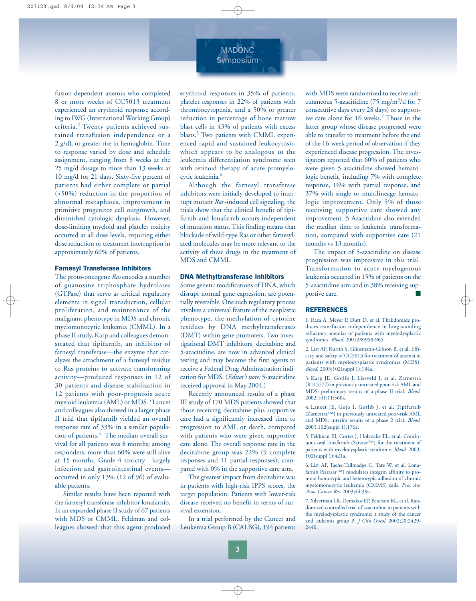# MADONC **Symposium**

fusion-dependent anemia who completed 8 or more weeks of CC5013 treatment experienced an erythroid response according to IWG (International Working Group) criteria.<sup>2</sup> Twenty patients achieved sustained transfusion independence or a 2 g/dL or greater rise in hemoglobin. Time to response varied by dose and schedule assignment, ranging from 8 weeks at the 25 mg/d dosage to more than 13 weeks at 10 mg/d for 21 days. Sixty-five percent of patients had either complete or partial (>50%) reduction in the proportion of abnormal metaphases, improvement in primitive progenitor cell outgrowth, and diminished cytologic dysplasia. However, dose-limiting myeloid and platelet toxicity occurred at all dose levels, requiring either dose reduction or treatment interruption in approximately 60% of patients.

#### Farnesyl Transferase Inhibitors

The proto-oncogene *Ras* encodes a number of guanosine triphosphate hydrolases (GTPase) that serve as critical regulatory elements in signal transduction, cellular proliferation, and maintenance of the malignant phenotype in MDS and chronic myelomonocytic leukemia (CMML). In a phase II study, Karp and colleagues demonstrated that tipifarnib, an inhibitor of farnesyl transferase—the enzyme that catalyzes the attachment of a farnesyl residue to Ras proteins to activate transforming activity—produced responses in 12 of 30 patients and disease stabilization in 12 patients with poor-prognosis acute myeloid leukemia (AML) or MDS.<sup>3</sup> Lancet and colleagues also showed in a larger phase II trial that tipifarnib yielded an overall response rate of 33% in a similar population of patients.<sup>4</sup> The median overall survival for all patients was 8 months; among responders, more than 60% were still alive at 15 months. Grade 4 toxicity—largely infection and gastrointestinal events occurred in only 13% (12 of 96) of evaluable patients.

Similar results have been reported with the farnesyl transferase inhibitor lonafarnib. In an expanded phase II study of 67 patients with MDS or CMML, Feldman and colleagues showed that this agent produced erythroid responses in 35% of patients, platelet responses in 22% of patients with thrombocytopenia, and a 50% or greater reduction in percentage of bone marrow blast cells in 43% of patients with excess blasts.5 Two patients with CMML experienced rapid and sustained leukocytosis, which appears to be analogous to the leukemia differentiation syndrome seen with retinoid therapy of acute promyelocytic leukemia.6

Although the farnesyl transferase inhibitors were initially developed to interrupt mutant *Ras* -induced cell signaling, the trials show that the clinical benefit of tipifarnib and lonafarnib occurs independent of mutation status. This finding means that blockade of wild-type Ras or other farnesylated molecules may be more relevant to the activity of these drugs in the treatment of MDS and CMML.

#### DNA Methyltransferase Inhibitors

Some genetic modifications of DNA, which disrupt normal gene expression, are potentially reversible. One such regulatory process involves a universal feature of the neoplastic phenotype, the methylation of cytosine residues by DNA methyltransferases (DMT) within gene promoters. Two investigational DMT inhibitors, decitabine and 5-azacitidine, are now in advanced clinical testing and may become the first agents to receive a Federal Drug Administration indication for MDS. (*Editor's note:* 5-azacitidine received approval in May 2004.)

Recently announced results of a phase III study of 170 MDS patients showed that those receiving decitabine plus supportive care had a significantly increased time to progression to AML or death, compared with patients who were given supportive care alone. The overall response rate in the decitabine group was 22% (9 complete responses and 11 partial responses), compared with 0% in the supportive care arm.

The greatest impact from decitabine was in patients with high-risk IPPS scores, the target population. Patients with lower-risk disease received no benefit in terms of survival extension.

In a trial performed by the Cancer and Leukemia Group B (CALBG), 194 patients

with MDS were randomized to receive subcutaneous 5-azacitidine (75 mg/m<sup>2</sup>/d for 7 consecutive days every 28 days) or supportive care alone for 16 weeks.<sup>7</sup> Those in the latter group whose disease progressed were able to transfer to treatment before the end of the 16-week period of observation if they experienced disease progression. The investigators reported that 60% of patients who were given 5-azacitidine showed hematologic benefit, including 7% with complete response, 16% with partial response, and 37% with single or multilineage hematologic improvement. Only 5% of those receiving supportive care showed any improvement. 5-Azacitidine also extended the median time to leukemic transformation, compared with supportive care (21 months vs 13 months).

The impact of 5-azacitidine on disease progression was impressive in this trial. Transformation to acute myelogenous leukemia occurred in 15% of patients on the 5-azacitidine arm and in 38% receiving supportive care.

#### REFERENCES

1. Raza A, Meyer P, Dutt D, et al. Thalidomide produces transfusion independence in long-standing refractory anemias of patients with myelodysplastic syndromes. *Blood*. 2001;98:958-965.

2. List AF, Kurtin S, Glinsmann-Gibson B, et al. Efficacy and safety of CC5013 for treatment of anemia in patients with myelodysplastic syndromes (MDS). *Blood*. 2003;102(suppl 1):184a.

3. Karp JE, Gotlib J, Liesveld J, et al. Zarnestra (R115777) in previously untreated poor-risk AML and MDS: preliminary results of a phase II trial. *Blood*. 2002;101:11:560a.

4. Lancet JE, Gojo I, Gotlib J, et al. Tipifarnib (Zarnestra™) in previously untreated poor-risk AML and MDS: interim results of a phase 2 trial. *Blood*. 2003;102(suppl 1):176a.

5. Feldman EJ, Cortes J, Holyoake TL, et al. Continuous oral lonafarnib (Sarasar™) for the treatment of patients with myelodysplastic syndrome. *Blood*. 2003; 102(suppl 1):421a.

6. List AF, Tache-Tallmadge C, Tate W, et al. Lonafarnib (Sarasar™) modulates integrin affinity to promote homotypic and heterotypic adhesion of chronic myelomonocytic leukemia (CMMS) cells. *Proc Am Assoc Cancer Res*. 2003;44:39a.

7. Silverman LR, Demakos EP, Peterson BL, et al. Randomized controlled trial of azacitidine in patients with the myelodysplastic syndrome: a study of the cancer and leukemia group B. *J Clin Oncol.* 2002;20:2429- 2440.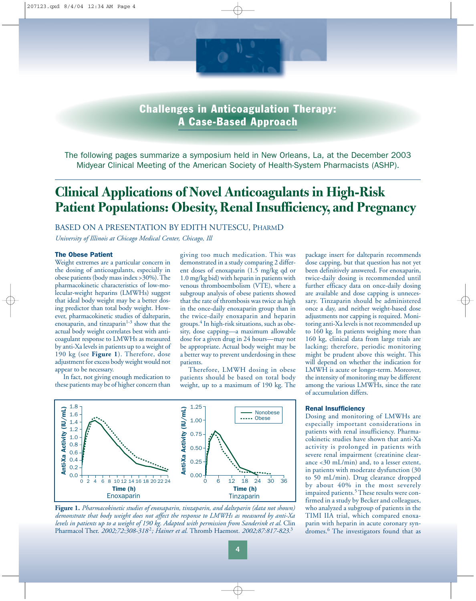

Challenges in Anticoagulation Therapy: A Case-Based Approach

The following pages summarize a symposium held in New Orleans, La, at the December 2003 Midyear Clinical Meeting of the American Society of Health-System Pharmacists (ASHP).

# **Clinical Applications of Novel Anticoagulants in High-Risk Patient Populations: Obesity, Renal Insufficiency, and Pregnancy**

BASED ON A PRESENTATION BY EDITH NUTESCU, PHARMD

*University of Illinois at Chicago Medical Center, Chicago, Ill* 

#### The Obese Patient

Weight extremes are a particular concern in the dosing of anticoagulants, especially in obese patients (body mass index >30%). The pharmacokinetic characteristics of low-molecular-weight heparins (LMWHs) suggest that ideal body weight may be a better dosing predictor than total body weight. However, pharmacokinetic studies of dalteparin, enoxaparin, and tinzaparin $1-3$  show that the actual body weight correlates best with anticoagulant response to LMWHs as measured by anti-Xa levels in patients up to a weight of 190 kg (see **Figure 1**). Therefore, dose adjustment for excess body weight would not appear to be necessary.

In fact, not giving enough medication to these patients may be of higher concern than

giving too much medication. This was demonstrated in a study comparing 2 different doses of enoxaparin (1.5 mg/kg qd or 1.0 mg/kg bid) with heparin in patients with venous thromboembolism (VTE), where a subgroup analysis of obese patients showed that the rate of thrombosis was twice as high in the once-daily enoxaparin group than in the twice-daily enoxaparin and heparin groups.4 In high-risk situations, such as obesity, dose capping—a maximum allowable dose for a given drug in 24 hours—may not be appropriate. Actual body weight may be a better way to prevent underdosing in these patients.

Therefore, LMWH dosing in obese patients should be based on total body weight, up to a maximum of 190 kg. The



**Figure 1.** *Pharmacokinetic studies of enoxaparin, tinzaparin, and dalteparin (data not shown) demonstrate that body weight does not affect the response to LMWHs as measured by anti-Xa levels in patients up to a weight of 190 kg. Adapted with permission from Sanderink et al.* Clin Pharmacol Ther. *2002;72:308-318* <sup>2</sup>*; Hainer et al.* Thromb Haemost*. 2002;87:817-823.*<sup>3</sup>

package insert for dalteparin recommends dose capping, but that question has not yet been definitively answered. For enoxaparin, twice-daily dosing is recommended until further efficacy data on once-daily dosing are available and dose capping is unnecessary. Tinzaparin should be administered once a day, and neither weight-based dose adjustments nor capping is required. Monitoring anti-Xa levels is not recommended up to 160 kg. In patients weighing more than 160 kg, clinical data from large trials are lacking; therefore, periodic monitoring might be prudent above this weight. This will depend on whether the indication for LMWH is acute or longer-term. Moreover, the intensity of monitoring may be different among the various LMWHs, since the rate of accumulation differs.

#### Renal Insufficiency

Dosing and monitoring of LMWHs are especially important considerations in patients with renal insufficiency. Pharmacokinetic studies have shown that anti-Xa activity is prolonged in patients with severe renal impairment (creatinine clearance <30 mL/min) and, to a lesser extent, in patients with moderate dysfunction (30 to 50 mL/min). Drug clearance dropped by about 40% in the most severely impaired patients.<sup>5</sup> These results were confirmed in a study by Becker and colleagues, who analyzed a subgroup of patients in the TIMI IIA trial, which compared enoxaparin with heparin in acute coronary syndromes.<sup>6</sup> The investigators found that as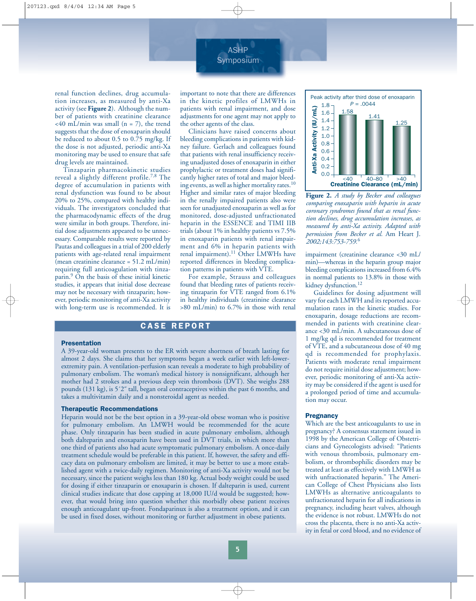

renal function declines, drug accumulation increases, as measured by anti-Xa activity (see **Figure 2**). Although the number of patients with creatinine clearance  $<40$  mL/min was small (n = 7), the trend suggests that the dose of enoxaparin should be reduced to about 0.5 to 0.75 mg/kg. If the dose is not adjusted, periodic anti-Xa monitoring may be used to ensure that safe drug levels are maintained.

Tinzaparin pharmacokinetic studies reveal a slightly different profile.<sup>7,8</sup> The degree of accumulation in patients with renal dysfunction was found to be about 20% to 25%, compared with healthy individuals. The investigators concluded that the pharmacodynamic effects of the drug were similar in both groups. Therefore, initial dose adjustments appeared to be unnecessary. Comparable results were reported by Pautas and colleagues in a trial of 200 elderly patients with age-related renal impairment (mean creatinine clearance = 51.2 mL/min) requiring full anticoagulation with tinzaparin.9 On the basis of these initial kinetic studies, it appears that initial dose decrease may not be necessary with tinzaparin; however, periodic monitoring of anti-Xa activity with long-term use is recommended. It is important to note that there are differences in the kinetic profiles of LMWHs in patients with renal impairment, and dose adjustments for one agent may not apply to the other agents of the class.

Clinicians have raised concerns about bleeding complications in patients with kidney failure. Gerlach and colleagues found that patients with renal insufficiency receiving unadjusted doses of enoxaparin in either prophylactic or treatment doses had significantly higher rates of total and major bleeding events, as well as higher mortality rates.<sup>10</sup> Higher and similar rates of major bleeding in the renally impaired patients also were seen for unadjusted enoxaparin as well as for monitored, dose-adjusted unfractionated heparin in the ESSENCE and TIMI IIB trials (about 1% in healthy patients vs 7.5% in enoxaparin patients with renal impairment and 6% in heparin patients with renal impairment).<sup>11</sup> Other LMWHs have reported differences in bleeding complication patterns in patients with VTE.

For example, Strauss and colleagues found that bleeding rates of patients receiving tinzaparin for VTE ranged from 6.1% in healthy individuals (creatinine clearance >80 mL/min) to 6.7% in those with renal

### CASE REPORT

#### Presentation

A 39-year-old woman presents to the ER with severe shortness of breath lasting for almost 2 days. She claims that her symptoms began a week earlier with left-lowerextremity pain. A ventilation-perfusion scan reveals a moderate to high probability of pulmonary embolism. The woman's medical history is nonsignificant, although her mother had 2 strokes and a previous deep vein thrombosis (DVT). She weighs 288 pounds (131 kg), is 5´2˝ tall, began oral contraceptives within the past 6 months, and takes a multivitamin daily and a nonsteroidal agent as needed.

#### Therapeutic Recommendations

Heparin would not be the best option in a 39-year-old obese woman who is positive for pulmonary embolism. An LMWH would be recommended for the acute phase. Only tinzaparin has been studied in acute pulmonary embolism, although both dalteparin and enoxaparin have been used in DVT trials, in which more than one third of patients also had acute symptomatic pulmonary embolism. A once-daily treatment schedule would be preferable in this patient. If, however, the safety and efficacy data on pulmonary embolism are limited, it may be better to use a more established agent with a twice-daily regimen. Monitoring of anti-Xa activity would not be necessary, since the patient weighs less than 180 kg. Actual body weight could be used for dosing if either tinzaparin or enoxaparin is chosen. If dalteparin is used, current clinical studies indicate that dose capping at 18,000 IU/d would be suggested; however, that would bring into question whether this morbidly obese patient receives enough anticoagulant up-front. Fondaparinux is also a treatment option, and it can be used in fixed doses, without monitoring or further adjustment in obese patients.



**Figure 2.** *A study by Becker and colleagues comparing enoxaparin with heparin in acute coronary syndromes found that as renal function declines, drug accumulation increases, as measured by anti-Xa activity. Adapted with permission from Becker et al.* Am Heart J. *2002;143:753-759.*<sup>6</sup>

impairment (creatinine clearance <30 mL/ min)—whereas in the heparin group major bleeding complications increased from 6.4% in normal patients to 13.8% in those with kidney dysfunction.<sup>12</sup>

Guidelines for dosing adjustment will vary for each LMWH and its reported accumulation rates in the kinetic studies. For enoxaparin, dosage reductions are recommended in patients with creatinine clearance <30 mL/min. A subcutaneous dose of 1 mg/kg qd is recommended for treatment of VTE, and a subcutaneous dose of 40 mg qd is recommended for prophylaxis. Patients with moderate renal impairment do not require initial dose adjustment; however, periodic monitoring of anti-Xa activity may be considered if the agent is used for a prolonged period of time and accumulation may occur.

#### **Pregnancy**

Which are the best anticoagulants to use in pregnancy? A consensus statement issued in 1998 by the American College of Obstetricians and Gynecologists advised: "Patients with venous thrombosis, pulmonary embolism, or thrombophilic disorders may be treated at least as effectively with LMWH as with unfractionated heparin." The American College of Chest Physicians also lists LMWHs as alternative anticoagulants to unfractionated heparin for all indications in pregnancy, including heart valves, although the evidence is not robust. LMWHs do not cross the placenta, there is no anti-Xa activity in fetal or cord blood, and no evidence of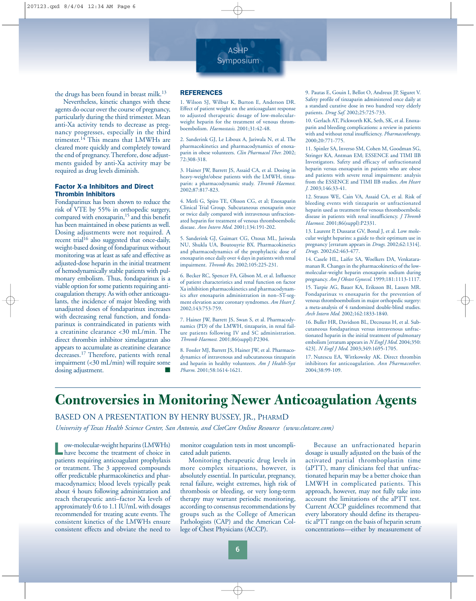

the drugs has been found in breast milk.<sup>13</sup>

Nevertheless, kinetic changes with these agents do occur over the course of pregnancy, particularly during the third trimester. Mean anti-Xa activity tends to decrease as pregnancy progresses, especially in the third trimester.<sup>14</sup> This means that LMWHs are cleared more quickly and completely toward the end of pregnancy. Therefore, dose adjustments guided by anti-Xa activity may be required as drug levels diminish.

#### Factor X-a Inhibitors and Direct Thrombin Inhibitors

Fondaparinux has been shown to reduce the risk of VTE by 55% in orthopedic surgery, compared with enoxaparin,<sup>15</sup> and this benefit has been maintained in obese patients as well. Dosing adjustments were not required. A recent trial<sup>16</sup> also suggested that once-daily, weight-based dosing of fondaparinux without monitoring was at least as safe and effective as adjusted-dose heparin in the initial treatment of hemodynamically stable patients with pulmonary embolism. Thus, fondaparinux is a viable option for some patients requiring anticoagulation therapy. As with other anticoagulants, the incidence of major bleeding with unadjusted doses of fondaparinux increases with decreasing renal function, and fondaparinux is contraindicated in patients with a creatinine clearance <30 mL/min. The direct thrombin inhibitor ximelagatran also appears to accumulate as creatinine clearance decreases.<sup>17</sup> Therefore, patients with renal impairment (<30 mL/min) will require some dosing adjustment.

#### **REFERENCES**

1. Wilson SJ, Wilbur K, Burton E, Anderson DR. Effect of patient weight on the anticoagulant response to adjusted therapeutic dosage of low-molecularweight heparin for the treatment of venous thromboembolism. *Haemostasis*. 2001;31:42-48.

2. Sanderink GJ, Le Liboux A, Jariwala N, et al. The pharmacokinetics and pharmacodynamics of enoxaparin in obese volunteers. *Clin Pharmacol Ther.* 2002; 72:308-318.

3. Hainer JW, Barrett JS, Assaid CA, et al. Dosing in heavy-weight/obese patients with the LMWH, tinzaparin: a pharmacodynamic study. *Thromb Haemost.* 2002;87:817-823.

4. Merli G, Spiro TE, Olsson CG, et al; Enoxaparin Clinical Trial Group. Subcutaneous enoxaparin once or twice daily compared with intravenous unfractionated heparin for treatment of venous thromboembolic disease. *Ann Intern Med*. 2001;134:191-202.

5. Sanderink GJ, Guimart CG, Ozoux ML, Jariwala NU, Shukla UA, Boutouyrie BX. Pharmacokinetics and pharmacodynamics of the prophylactic dose of enoxaparin once daily over 4 days in patients with renal impairment. *Thromb Res*. 2002;105:225-231.

6. Becker RC, Spencer FA, Gibson M, et al. Influence of patient characteristics and renal function on factor Xa inhibition pharmacokinetics and pharmacodynamics after enoxaparin administration in non–ST-segment elevation acute coronary syndromes. *Am Heart J.* 2002;143:753-759.

7. Hainer JW, Barrett JS, Swan S, et al. Pharmacodynamics (PD) of the LMWH, tinzaparin, in renal failure patients following IV and SC administration. *Thromb Haemost.* 2001;86(suppl):P2304.

8. Fossler MJ, Barrett JS, Hainer JW, et al. Pharmacodynamics of intravenous and subcutaneous tinzaparin and heparin in healthy volunteers. *Am J Health-Syst Pharm.* 2001;58:1614-1621.

9. Pautas E, Gouin I, Bellot O, Andreux JP, Siguret V. Safety profile of tinzaparin administered once daily at a standard curative dose in two hundred very elderly patients. *Drug Saf*. 2002;25:725-733.

10. Gerlach AT, Pickworth KK, Seth, SK, et al. Enoxaparin and bleeding complications: a review in patients with and without renal insufficiency. *Pharmacotherapy*. 2000;20:771-775.

11. Spinler SA, Inverso SM, Cohen M, Goodman SG, Stringer KA, Antman EM; ESSENCE and TIMI IIB Investigators. Safety and efficacy of unfractionated heparin versus enoxaparin in patients who are obese and patients with severe renal impairment: analysis from the ESSENCE and TIMI IIB studies. *Am Heart J.* 2003;146:33-41.

12. Strauss WE, Cain VA, Assaid CA, et al. Risk of bleeding events with tinzaparin or unfractionated heparin used as treatment for venous thromboembolic disease in patients with renal insufficiency. *J Thromb Haemost.* 2001;86(suppl):P2331.

13. Laurent P, Dussarat GV, Bonal J, et al. Low molecular weight heparins: a guide to their optimum use in pregnancy [erratum appears in *Drugs*. 2002;62:1314]. *Drugs*. 2002;62:463-477.

14. Casele HL, Laifer SA, Woelkers DA, Venkataramanan R. Changes in the pharmacokinetics of the lowmolecular-weight heparin enoxaparin sodium during pregnancy. *Am J Obstet Gynecol*. 1999;181:1113-1117. 15. Turpie AG, Bauer KA, Eriksson BI, Lassen MR. Fondaparinux vs enoxaparin for the prevention of venous thromboembolism in major orthopedic surgery: a meta-analysis of 4 randomized double-blind studies. *Arch Intern Med.* 2002;162:1833-1840.

16. Buller HR, Davidson BL, Decousus H, et al. Subcutaneous fondaparinux versus intravenous unfractionated heparin in the initial treatment of pulmonary embolism [erratum appears in *N Engl J Med*. 2004;350: 423]. *N Engl J Med*. 2003;349:1695-1705.

17. Nutescu EA, Wittkowsky AK. Direct thrombin inhibitors for anticoagulation. *Ann Pharmacother*. 2004;38:99-109.

# **Controversies in Monitoring Newer Anticoagulation Agents**

BASED ON A PRESENTATION BY HENRY BUSSEY, JR., PHARMD

*University of Texas Health Science Center, San Antonio, and ClotCare Online Resource (www.clotcare.com)* 

ow-molecular-weight heparins (LMWHs) have become the treatment of choice in patients requiring anticoagulant prophylaxis or treatment. The 3 approved compounds offer predictable pharmacokinetics and pharmacodynamics; blood levels typically peak about 4 hours following administration and reach therapeutic anti–factor Xa levels of approximately 0.6 to 1.1 IU/mL with dosages recommended for treating acute events. The consistent kinetics of the LMWHs ensure consistent effects and obviate the need to monitor coagulation tests in most uncomplicated adult patients.

Monitoring therapeutic drug levels in more complex situations, however, is absolutely essential. In particular, pregnancy, renal failure, weight extremes, high risk of thrombosis or bleeding, or very long-term therapy may warrant periodic monitoring, according to consensus recommendations by groups such as the College of American Pathologists (CAP) and the American College of Chest Physicians (ACCP).

Because an unfractionated heparin dosage is usually adjusted on the basis of the activated partial thromboplastin time (aPTT), many clinicians feel that unfractionated heparin may be a better choice than LMWH in complicated patients. This approach, however, may not fully take into account the limitations of the aPTT test. Current ACCP guidelines recommend that every laboratory should define its therapeutic aPTT range on the basis of heparin serum concentrations—either by measurement of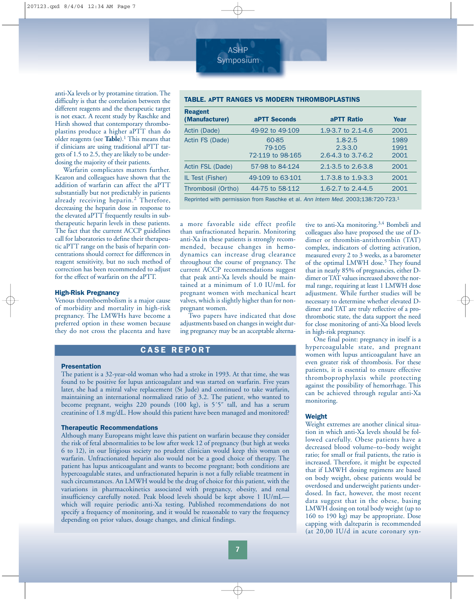anti-Xa levels or by protamine titration. The difficulty is that the correlation between the different reagents and the therapeutic target is not exact. A recent study by Raschke and Hirsh showed that contemporary thromboplastins produce a higher aPTT than do older reagents (see **Table**).1 This means that if clinicians are using traditional aPTT targets of 1.5 to 2.5, they are likely to be underdosing the majority of their patients.

Warfarin complicates matters further. Kearon and colleagues have shown that the addition of warfarin can affect the aPTT substantially but not predictably in patients already receiving heparin.<sup>2</sup> Therefore, decreasing the heparin dose in response to the elevated aPTT frequently results in subtherapeutic heparin levels in these patients. The fact that the current ACCP guidelines call for laboratories to define their therapeutic aPTT range on the basis of heparin concentrations should correct for differences in reagent sensitivity, but no such method of correction has been recommended to adjust for the effect of warfarin on the aPTT.

#### High-Risk Pregnancy

Venous thromboembolism is a major cause of morbidity and mortality in high-risk pregnancy. The LMWHs have become a preferred option in these women because they do not cross the placenta and have

#### TABLE. APTT RANGES VS MODERN THROMBOPLASTINS

| <b>Reagent</b><br>(Manufacturer) | aPTT Seconds                        | <b>aPTT Ratio</b>                                                             | Year                 |
|----------------------------------|-------------------------------------|-------------------------------------------------------------------------------|----------------------|
| Actin (Dade)                     | 49-92 to 49-109                     | 1.9-3.7 to 2.1-4.6                                                            | 2001                 |
| Actin FS (Dade)                  | 60-85<br>79-105<br>72-119 to 98-165 | $1.8 - 2.5$<br>$2.3 - 3.0$<br>2.6-4.3 to 3.7-6.2                              | 1989<br>1991<br>2001 |
| Actin FSL (Dade)                 | 57-98 to 84-124                     | 2.1-3.5 to 2.6-3.8                                                            | 2001                 |
| IL Test (Fisher)                 | 49-109 to 63-101                    | 1.7-3.8 to 1.9-3.3                                                            | 2001                 |
| Thrombosil (Ortho)               | 44-75 to 58-112                     | 1.6-2.7 to $2.4-4.5$                                                          | 2001                 |
|                                  |                                     | Deprinted with permission from Paschke et al Ann Intern Med 2003:138:720-723. |                      |

Reprinted with permission from Raschke et al. *Ann Intern Med.* 2003;138:720-723.1

a more favorable side effect profile than unfractionated heparin. Monitoring anti-Xa in these patients is strongly recommended, because changes in hemodynamics can increase drug clearance throughout the course of pregnancy. The current ACCP recommendations suggest that peak anti-Xa levels should be maintained at a minimum of 1.0 IU/mL for pregnant women with mechanical heart valves, which is slightly higher than for nonpregnant women.

ASHP Symposium

Two papers have indicated that dose adjustments based on changes in weight during pregnancy may be an acceptable alterna-

### CASE REPORT

#### Presentation

The patient is a 32-year-old woman who had a stroke in 1993. At that time, she was found to be positive for lupus anticoagulant and was started on warfarin. Five years later, she had a mitral valve replacement (St Jude) and continued to take warfarin, maintaining an international normalized ratio of 3.2. The patient, who wanted to become pregnant, weighs 220 pounds (100 kg), is 5'5" tall, and has a serum creatinine of 1.8 mg/dL. How should this patient have been managed and monitored?

#### Therapeutic Recommendations

Although many Europeans might leave this patient on warfarin because they consider the risk of fetal abnormalities to be low after week 12 of pregnancy (but high at weeks 6 to 12), in our litigious society no prudent clinician would keep this woman on warfarin. Unfractionated heparin also would not be a good choice of therapy. The patient has lupus anticoagulant and wants to become pregnant; both conditions are hypercoagulable states, and unfractionated heparin is not a fully reliable treatment in such circumstances. An LMWH would be the drug of choice for this patient, with the variations in pharmacokinetics associated with pregnancy, obesity, and renal insufficiency carefully noted. Peak blood levels should be kept above 1 IU/mL which will require periodic anti-Xa testing. Published recommendations do not specify a frequency of monitoring, and it would be reasonable to vary the frequency depending on prior values, dosage changes, and clinical findings.

tive to anti-Xa monitoring.<sup>3,4</sup> Bombeli and colleagues also have proposed the use of Ddimer or thrombin-antithrombin (TAT) complex, indicators of clotting activation, measured every 2 to 3 weeks, as a barometer of the optimal LMWH dose.<sup>5</sup> They found that in nearly 85% of pregnancies, either Ddimer or TAT values increased above the normal range, requiring at least 1 LMWH dose adjustment. While further studies will be necessary to determine whether elevated Ddimer and TAT are truly reflective of a prothrombotic state, the data support the need for close monitoring of anti-Xa blood levels in high-risk pregnancy.

One final point: pregnancy in itself is a hypercoagulable state, and pregnant women with lupus anticoagulant have an even greater risk of thrombosis. For these patients, it is essential to ensure effective thromboprophylaxis while protecting against the possibility of hemorrhage. This can be achieved through regular anti-Xa monitoring.

#### Weight

Weight extremes are another clinical situation in which anti-Xa levels should be followed carefully. Obese patients have a decreased blood volume–to–body weight ratio; for small or frail patients, the ratio is increased. Therefore, it might be expected that if LMWH dosing regimens are based on body weight, obese patients would be overdosed and underweight patients underdosed. In fact, however, the most recent data suggest that in the obese, basing LMWH dosing on total body weight (up to 160 to 190 kg) may be appropriate. Dose capping with dalteparin is recommended (at 20,00 IU/d in acute coronary syn-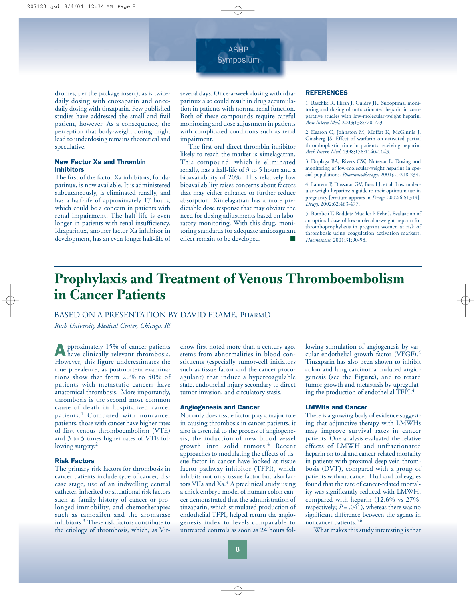

dromes, per the package insert), as is twicedaily dosing with enoxaparin and oncedaily dosing with tinzaparin. Few published studies have addressed the small and frail patient, however. As a consequence, the perception that body-weight dosing might lead to underdosing remains theoretical and speculative.

#### New Factor Xa and Thrombin Inhibitors

The first of the factor Xa inhibitors, fondaparinux, is now available. It is administered subcutaneously, is eliminated renally, and has a half-life of approximately 17 hours, which could be a concern in patients with renal impairment. The half-life is even longer in patients with renal insufficiency. Idraparinux, another factor Xa inhibitor in development, has an even longer half-life of several days. Once-a-week dosing with idraparinux also could result in drug accumulation in patients with normal renal function. Both of these compounds require careful monitoring and dose adjustment in patients with complicated conditions such as renal impairment.

The first oral direct thrombin inhibitor likely to reach the market is ximelagatran. This compound, which is eliminated renally, has a half-life of 3 to 5 hours and a bioavailability of 20%. This relatively low bioavailability raises concerns about factors that may either enhance or further reduce absorption. Ximelagatran has a more predictable dose response that may obviate the need for dosing adjustments based on laboratory monitoring. With this drug, monitoring standards for adequate anticoagulant effect remain to be developed.

#### **REFERENCES**

1. Raschke R, Hirsh J, Guidry JR. Suboptimal monitoring and dosing of unfractionated heparin in comparative studies with low-molecular-weight heparin. *Ann Intern Med*. 2003;138:720-723.

2. Kearon C, Johnston M, Moffat K, McGinnis J, Ginsberg JS. Effect of warfarin on activated partial thromboplastin time in patients receiving heparin. *Arch Intern Med.* 1998;158:1140-1143.

3. Duplaga BA, Rivers CW, Nutescu E. Dosing and monitoring of low-molecular-weight heparins in special populations. *Pharmacotherapy*. 2001;21:218-234.

4. Laurent P, Dussarat GV, Bonal J, et al. Low molecular weight heparins: a guide to their optimum use in pregnancy [erratum appears in *Drugs*. 2002;62:1314]. *Drugs*. 2002;62:463-477.

5. Bombeli T, Raddatz Mueller P, Fehr J. Evaluation of an optimal dose of low-molecular-weight heparin for thromboprophylaxis in pregnant women at risk of thrombosis using coagulation activation markers. *Haemostasis*. 2001;31:90-98.

# **Prophylaxis and Treatment of Venous Thromboembolism in Cancer Patients**

#### BASED ON A PRESENTATION BY DAVID FRAME, PHARMD

*Rush University Medical Center, Chicago, Ill* 

Approximately 15% of cancer patients have clinically relevant thrombosis. However, this figure underestimates the true prevalence, as postmortem examinations show that from 20% to 50% of patients with metastatic cancers have anatomical thrombosis. More importantly, thrombosis is the second most common cause of death in hospitalized cancer patients.<sup>1</sup> Compared with noncancer patients, those with cancer have higher rates of first venous thromboembolism (VTE) and 3 to 5 times higher rates of VTE following surgery.<sup>2</sup>

#### Risk Factors

The primary risk factors for thrombosis in cancer patients include type of cancer, disease stage, use of an indwelling central catheter, inherited or situational risk factors such as family history of cancer or prolonged immobility, and chemotherapies such as tamoxifen and the aromatase inhibitors.3 These risk factors contribute to the etiology of thrombosis, which, as Virchow first noted more than a century ago, stems from abnormalities in blood constituents (especially tumor-cell initiators such as tissue factor and the cancer procoagulant) that induce a hypercoagulable state, endothelial injury secondary to direct tumor invasion, and circulatory stasis.

#### Angiogenesis and Cancer

Not only does tissue factor play a major role in causing thrombosis in cancer patients, it also is essential to the process of angiogenesis, the induction of new blood vessel growth into solid tumors.<sup>4</sup> Recent approaches to modulating the effects of tissue factor in cancer have looked at tissue factor pathway inhibitor (TFPI), which inhibits not only tissue factor but also factors VIIa and Xa.<sup>4</sup> A preclinical study using a chick embryo model of human colon cancer demonstrated that the administration of tinzaparin, which stimulated production of endothelial TFPI, helped return the angiogenesis index to levels comparable to untreated controls as soon as 24 hours following stimulation of angiogenesis by vascular endothelial growth factor (VEGF).<sup>4</sup> Tinzaparin has also been shown to inhibit colon and lung carcinoma–induced angiogenesis (see the **Figure**), and to retard tumor growth and metastasis by upregulating the production of endothelial TFPI.4

#### LMWHs and Cancer

There is a growing body of evidence suggesting that adjunctive therapy with LMWHs may improve survival rates in cancer patients. One analysis evaluated the relative effects of LMWH and unfractionated heparin on total and cancer-related mortality in patients with proximal deep vein thrombosis (DVT), compared with a group of patients without cancer. Hull and colleagues found that the rate of cancer-related mortality was significantly reduced with LMWH, compared with heparin (12.6% vs 27%, respectively;  $P = .041$ ), whereas there was no significant difference between the agents in noncancer patients.<sup>5,6</sup>

What makes this study interesting is that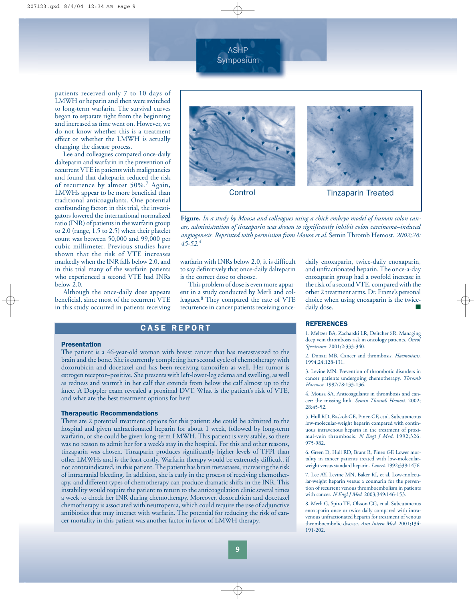ASHP Symposium

patients received only 7 to 10 days of LMWH or heparin and then were switched to long-term warfarin. The survival curves began to separate right from the beginning and increased as time went on. However, we do not know whether this is a treatment effect or whether the LMWH is actually changing the disease process.

Lee and colleagues compared once-daily dalteparin and warfarin in the prevention of recurrent VTE in patients with malignancies and found that dalteparin reduced the risk of recurrence by almost 50%.<sup>7</sup> Again, LMWHs appear to be more beneficial than traditional anticoagulants. One potential confounding factor: in this trial, the investigators lowered the international normalized ratio (INR) of patients in the warfarin group to 2.0 (range, 1.5 to 2.5) when their platelet count was between 50,000 and 99,000 per cubic millimeter. Previous studies have shown that the risk of VTE increases markedly when the INR falls below 2.0, and in this trial many of the warfarin patients who experienced a second VTE had INRs below 2.0.

Although the once-daily dose appears beneficial, since most of the recurrent VTE in this study occurred in patients receiving



**Figure.** *In a study by Mousa and colleagues using a chick embryo model of human colon cancer, administration of tinzaparin was shown to significantly inhibit colon carcinoma–induced angiogenesis. Reprinted with permission from Mousa et al.* Semin Thromb Hemost. *2002;28: 45-52.<sup>4</sup>*

warfarin with INRs below 2.0, it is difficult to say definitively that once-daily dalteparin is the correct dose to choose.

This problem of dose is even more apparent in a study conducted by Merli and colleagues.8 They compared the rate of VTE recurrence in cancer patients receiving once-

### CASE REPORT

#### Presentation

The patient is a 46-year-old woman with breast cancer that has metastasized to the brain and the bone. She is currently completing her second cycle of chemotherapy with doxorubicin and docetaxel and has been receiving tamoxifen as well. Her tumor is estrogen receptor–positive. She presents with left-lower-leg edema and swelling, as well as redness and warmth in her calf that extends from below the calf almost up to the knee. A Doppler exam revealed a proximal DVT. What is the patient's risk of VTE, and what are the best treatment options for her?

#### Therapeutic Recommendations

There are 2 potential treatment options for this patient: she could be admitted to the hospital and given unfractionated heparin for about 1 week, followed by long-term warfarin, or she could be given long-term LMWH. This patient is very stable, so there was no reason to admit her for a week's stay in the hospital. For this and other reasons, tinzaparin was chosen. Tinzaparin produces significantly higher levels of TFPI than other LMWHs and is the least costly. Warfarin therapy would be extremely difficult, if not contraindicated, in this patient. The patient has brain metastases, increasing the risk of intracranial bleeding. In addition, she is early in the process of receiving chemotherapy, and different types of chemotherapy can produce dramatic shifts in the INR. This instability would require the patient to return to the anticoagulation clinic several times a week to check her INR during chemotherapy. Moreover, doxorubicin and docetaxel chemotherapy is associated with neutropenia, which could require the use of adjunctive antibiotics that may interact with warfarin. The potential for reducing the risk of cancer mortality in this patient was another factor in favor of LMWH therapy.

daily enoxaparin, twice-daily enoxaparin, and unfractionated heparin. The once-a-day enoxaparin group had a twofold increase in the risk of a second VTE, compared with the other 2 treatment arms. Dr. Frame's personal choice when using enoxaparin is the twicedaily dose.

#### REFERENCES

1. Meltzer BA, Zacharski LR, Deitcher SR. Managing deep vein thrombosis risk in oncology patients. *Oncol Spectrums.* 2001;2:333-340.

2. Donati MB. Cancer and thrombosis. *Haemostasis*. 1994;24:128-131.

3. Levine MN. Prevention of thrombotic disorders in cancer patients undergoing chemotherapy. *Thromb Haemost.* 1997;78:133-136.

4. Mousa SA. Anticoagulants in thrombosis and cancer: the missing link. *Semin Thromb Hemost.* 2002; 28:45-52.

5. Hull RD, Raskob GE, Pineo GF, et al. Subcutaneous low-molecular-weight heparin compared with continuous intravenous heparin in the treatment of proximal-vein thrombosis. *N Engl J Med.* 1992;326: 975-982.

6. Green D, Hull RD, Brant R, Pineo GF. Lower mortality in cancer patients treated with low-molecularweight versus standard heparin. *Lancet*. 1992;339:1476.

7. Lee AY, Levine MN, Baker RI, et al. Low-molecular-weight heparin versus a coumarin for the prevention of recurrent venous thromboembolism in patients with cancer. *N Engl J Med*. 2003;349:146-153.

8. Merli G, Spiro TE, Olsson CG, et al. Subcutaneous enoxaparin once or twice daily compared with intravenous unfractionated heparin for treatment of venous thromboembolic disease. *Ann Intern Med.* 2001;134: 191-202.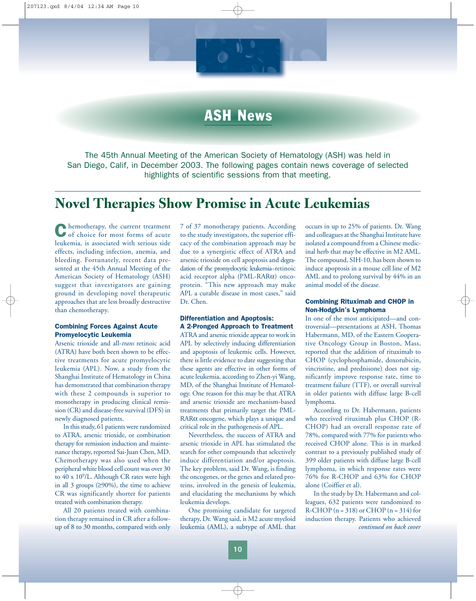

# ASH News

The 45th Annual Meeting of the American Society of Hematology (ASH) was held in San Diego, Calif, in December 2003. The following pages contain news coverage of selected highlights of scientific sessions from that meeting.

# **Novel Therapies Show Promise in Acute Leukemias**

Chemotherapy, the current treatment of choice for most forms of acute leukemia, is associated with serious side effects, including infection, anemia, and bleeding. Fortunately, recent data presented at the 45th Annual Meeting of the American Society of Hematology (ASH) suggest that investigators are gaining ground in developing novel therapeutic approaches that are less broadly destructive than chemotherapy.

#### Combining Forces Against Acute Promyelocytic Leukemia

Arsenic trioxide and all-*trans* retinoic acid (ATRA) have both been shown to be effective treatments for acute promyelocytic leukemia (APL). Now, a study from the Shanghai Institute of Hematology in China has demonstrated that combination therapy with these 2 compounds is superior to monotherapy in producing clinical remission (CR) and disease-free survival (DFS) in newly diagnosed patients.

In this study, 61 patients were randomized to ATRA, arsenic trioxide, or combination therapy for remission induction and maintenance therapy, reported Sai-Juan Chen, MD. Chemotherapy was also used when the peripheral white blood cell count was over 30 to  $40 \times 10^9$ /L. Although CR rates were high in all 3 groups (≥90%), the time to achieve CR was significantly shorter for patients treated with combination therapy.

All 20 patients treated with combination therapy remained in CR after a followup of 8 to 30 months, compared with only 7 of 37 monotherapy patients. According to the study investigators, the superior efficacy of the combination approach may be due to a synergistic effect of ATRA and arsenic trioxide on cell apoptosis and degradation of the promyelocytic leukemia–retinoic acid receptor alpha (PML-RARα) oncoprotein. "This new approach may make APL a curable disease in most cases," said Dr. Chen.

#### Differentiation and Apoptosis: A 2-Pronged Approach to Treatment

ATRA and arsenic trioxide appear to work in APL by selectively inducing differentiation and apoptosis of leukemic cells. However, there is little evidence to date suggesting that these agents are effective in other forms of acute leukemia, according to Zhen-yi Wang, MD, of the Shanghai Institute of Hematology. One reason for this may be that ATRA and arsenic trioxide are mechanism-based treatments that primarily target the PML-RARα oncogene, which plays a unique and critical role in the pathogenesis of APL.

Nevertheless, the success of ATRA and arsenic trioxide in APL has stimulated the search for other compounds that selectively induce differentiation and/or apoptosis. The key problem, said Dr. Wang, is finding the oncogenes, or the genes and related proteins, involved in the genesis of leukemia, and elucidating the mechanisms by which leukemia develops.

One promising candidate for targeted therapy, Dr. Wang said, is M2 acute myeloid leukemia (AML), a subtype of AML that

occurs in up to 25% of patients. Dr. Wang and colleagues at the Shanghai Institute have isolated a compound from a Chinese medicinal herb that may be effective in M2 AML. The compound, SIH-10, has been shown to induce apoptosis in a mouse cell line of M2 AML and to prolong survival by 44% in an animal model of the disease.

#### Combining Rituximab and CHOP in Non-Hodgkin's Lymphoma

In one of the most anticipated—and controversial—presentations at ASH, Thomas Habermann, MD, of the Eastern Cooperative Oncology Group in Boston, Mass, reported that the addition of rituximab to CHOP (cyclophosphamide, doxorubicin, vincristine, and prednisone) does not significantly improve response rate, time to treatment failure (TTF), or overall survival in older patients with diffuse large B-cell lymphoma.

According to Dr. Habermann, patients who received rituximab plus CHOP (R-CHOP) had an overall response rate of 78%, compared with 77% for patients who received CHOP alone. This is in marked contrast to a previously published study of 399 older patients with diffuse large B-cell lymphoma, in which response rates were 76% for R-CHOP and 63% for CHOP alone (Coiffier et al).

In the study by Dr. Habermann and colleagues, 632 patients were randomized to R-CHOP  $(n = 318)$  or CHOP  $(n = 314)$  for induction therapy. Patients who achieved *continued on back cover*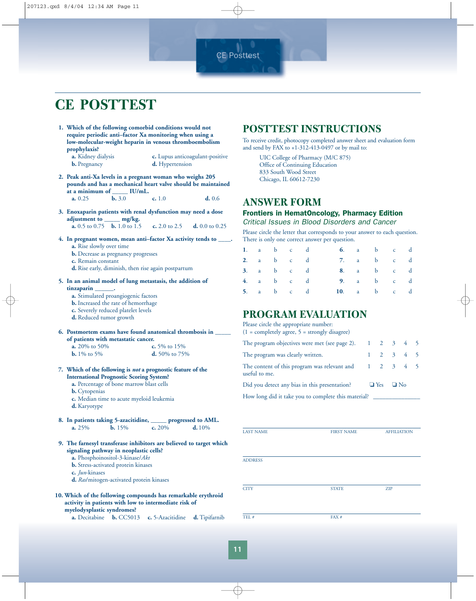CE Posttest

# **CE POSTTEST**

**1. Which of the following comorbid conditions would not require periodic anti–factor Xa monitoring when using a low-molecular-weight heparin in venous thromboembolism prophylaxis?**

**a.** Kidney dialysis **c.** Lupus anticoagulant-positive **b.** Pregnancy **d.** Hypertension

**2. Peak anti-Xa levels in a pregnant woman who weighs 205 pounds and has a mechanical heart valve should be maintained** at a minimum of  $\frac{U}{\text{b. 3.0}}$  IU/mL.

**a.** 0.25 **b.** 3.0 **c.** 1.0 **d.** 0.6

- **3. Enoxaparin patients with renal dysfunction may need a dose adjustment to \_\_\_\_\_ mg/kg. a.** 0.5 to 0.75 **b.** 1.0 to 1.5 **c.** 2.0 to 2.5 **d.** 0.0 to 0.25
- **4. In pregnant women, mean anti–factor Xa activity tends to \_\_\_\_. a.** Rise slowly over time **b.** Decrease as pregnancy progresses
	- **c.** Remain constant
	- **d.** Rise early, diminish, then rise again postpartum
- **5. In an animal model of lung metastasis, the addition of tinzaparin \_\_\_\_\_\_.**
	- **a.** Stimulated proangiogenic factors
	- **b.** Increased the rate of hemorrhage
	- **c.** Severely reduced platelet levels
	- **d.** Reduced tumor growth
- **6. Postmortem exams have found anatomical thrombosis in \_\_\_\_\_ of patients with metastatic cancer.**<br>**a.** 20% to 50% **c.** 5% to 15% **a.** 20% to 50%
	- **b.** 1% to 5% **d.** 50% to 75%

#### **7. Which of the following is** *not* **a prognostic feature of the International Prognostic Scoring System?**

**a.** Percentage of bone marrow blast cells

- **b.** Cytopenias
- **c.** Median time to acute myeloid leukemia
- **d.** Karyotype
- **8.** In patients taking 5-azacitidine, progressed to AML.<br>a.  $25\%$  b.  $15\%$  c.  $20\%$  d.  $10\%$ **a.** 25% **b.** 15% **c.** 20% **d.** 10%
- **9. The farnesyl transferase inhibitors are believed to target which signaling pathway in neoplastic cells?**
	- **a.** Phosphoinositol-3-kinase/*Akt*
	- **b.** Stress-activated protein kinases
	- **c.** *Jun*-kinases
	- **d.** *Ras*/mitogen-activated protein kinases
- **10. Which of the following compounds has remarkable erythroid activity in patients with low to intermediate risk of myelodysplastic syndromes?**
	- **a.** Decitabine **b.** CC5013 **c.** 5-Azacitidine **d.** Tipifarnib

### **POSTTEST INSTRUCTIONS**

To receive credit, photocopy completed answer sheet and evaluation form and send by FAX to +1-312-413-0497 or by mail to:

UIC College of Pharmacy (M/C 875) Office of Continuing Education 833 South Wood Street Chicago, IL 60612-7230

### **ANSWER FORM**

### Frontiers in HematOncology, Pharmacy Edition

*Critical Issues in Blood Disorders and Cancer* Please circle the letter that corresponds to your answer to each question.

|    |                   |                |              |              | There is only one correct answer per question. |              |              |              |   |
|----|-------------------|----------------|--------------|--------------|------------------------------------------------|--------------|--------------|--------------|---|
|    | 1. a              | $\mathbf{b}$ c |              | $\mathbf d$  | 6.                                             | a a          | $\mathbf{b}$ | $\mathbf{C}$ |   |
|    |                   | 2. a $b$ c d   |              |              | 7.                                             | $\mathbf{a}$ | $\mathbf{b}$ | $c$ d        |   |
|    |                   | 3. $a$ b $c$   |              | $\mathbf{d}$ | 8.                                             | a            | $\mathbf b$  | $c$ d        |   |
| 4. | $a \qquad \qquad$ |                | b c d        |              | 9.                                             | a            | $\mathbf{b}$ | c d          |   |
| 5. |                   | a b            | $\mathbf{C}$ |              | 10.                                            | a            | $\mathbf{b}$ | $\mathbf{C}$ | d |
|    |                   |                |              |              |                                                |              |              |              |   |

### **PROGRAM EVALUATION**

| Please circle the appropriate number:<br>$(1 = \text{completely agree}, 5 = \text{strongly disagree})$ |                      |  |  |
|--------------------------------------------------------------------------------------------------------|----------------------|--|--|
| The program objectives were met (see page 2). $1 \quad 2 \quad 3 \quad 4 \quad 5$                      |                      |  |  |
| The program was clearly written.                                                                       | 2 3 4 5              |  |  |
| The content of this program was relevant and $1 \quad 2 \quad 3 \quad 4 \quad 5$<br>useful to me.      |                      |  |  |
| Did you detect any bias in this presentation?                                                          | $\Box$ Yes $\Box$ No |  |  |
| How long did it take you to complete this material?                                                    |                      |  |  |

| <b>FIRST NAME</b> | <b>AFFILIATION</b> |
|-------------------|--------------------|
|                   |                    |
|                   |                    |
|                   |                    |
|                   |                    |
|                   | <b>ZIP</b>         |
|                   |                    |
| FAX#              |                    |
|                   | <b>STATE</b>       |